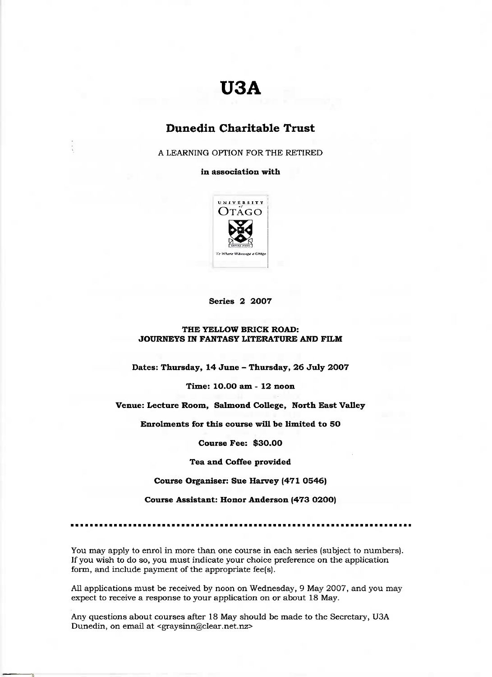# **USA**

## **Dunedin Charitable Trust**

A LEARNING OPTION FOR THE RETIRED

**in association with**



### **Series 2 2007**

#### **THE YELLOW BRICK ROAD: JOURNEYS IN FANTASY LITERATURE AND FILM**

**Dates: Thursday, 14 June - Thursday, 26 July 2007**

**Time: 10.00 am - 12 noon**

**Venue: Lecture Room, Salmond College, North East Valley**

**Enrolments for this course will be limited to 50**

**Course Fee: \$30.00**

**Tea and Coffee provided**

**Course Organiser: Sue Harvey (471 0546)**

**Course Assistant: Honor Anderson (473 0200)**

You may apply to enrol in more than one course in each series (subject to numbers). If you wish to do so, you must indicate your choice preference on the application form, and include payment of the appropriate fee(s).

All applications must be received by noon on Wednesday, 9 May 2007, and you may expect to receive a response to your application on or about 18 May.

Any questions about courses after 18 May should be made to the Secretary, USA Dunedin, on email at <graysinn@clear.net.nz>